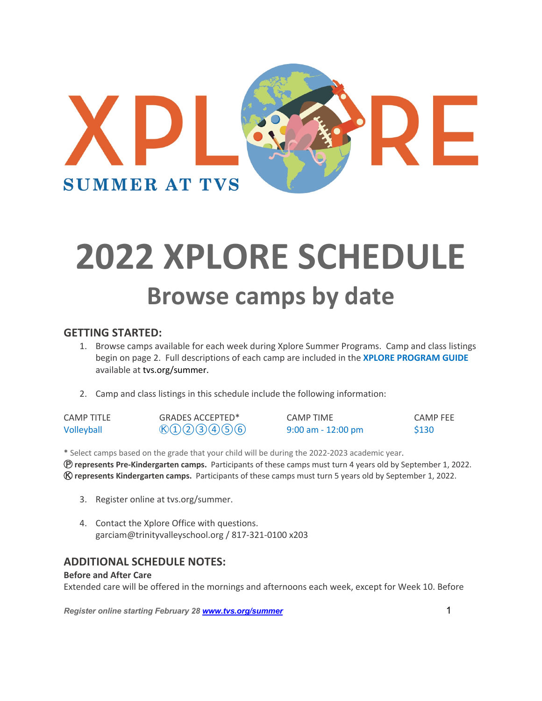

# **2022 XPLORE SCHEDULE Browse camps by date**

### **GETTING STARTED:**

- 1. Browse camps available for each week during Xplore Summer Programs. Camp and class listings begin on page 2. Full descriptions of each camp are included in the **XPLORE PROGRAM GUIDE** available at tvs.org/summer.
- 2. Camp and class listings in this schedule include the following information:

| CAMP TITLE | GRADES ACCEPTED*                     | <b>CAMP TIME</b>     | <b>CAMP FEE</b> |
|------------|--------------------------------------|----------------------|-----------------|
| Volleyball | $\mathcal{B}(1)$ (2) (3) (4) (5) (6) | $9:00$ am - 12:00 pm | <b>S130</b>     |

\* Select camps based on the grade that your child will be during the 2022-2023 academic year. Ⓟ **represents Pre-Kindergarten camps.** Participants of these camps must turn 4 years old by September 1, 2022. Ⓚ **represents Kindergarten camps.** Participants of these camps must turn 5 years old by September 1, 2022.

- 3. Register online at tvs.org/summer.
- 4. Contact the Xplore Office with questions. garciam@trinityvalleyschool.org / 817-321-0100 x203

## **ADDITIONAL SCHEDULE NOTES:**

#### **Before and After Care**

Extended care will be offered in the mornings and afternoons each week, except for Week 10. Before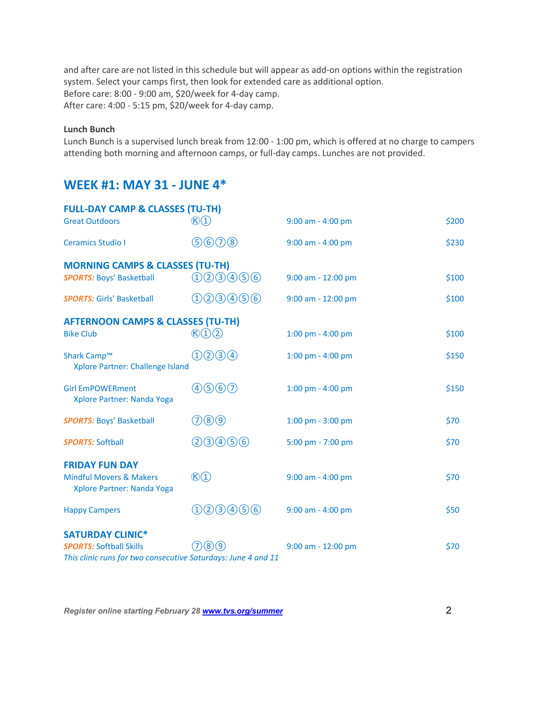and after care are not listed in this schedule but will appear as add-on options within the registration system. Select your camps first, then look for extended care as additional option. Before care: 8:00 - 9:00 am, \$20/week for 4-day camp. After care: 4:00 - 5:15 pm, \$20/week for 4-day camp.

#### **Lunch Bunch**

Lunch Bunch is a supervised lunch break from 12:00 - 1:00 pm, which is offered at no charge to campers attending both morning and afternoon camps, or full-day camps. Lunches are not provided.

## **WEEK #1: MAY 31 - JUNE 4\***

| <b>FULL-DAY CAMP &amp; CLASSES (TU-TH)</b>                                                      |                                  |                       |       |
|-------------------------------------------------------------------------------------------------|----------------------------------|-----------------------|-------|
| <b>Great Outdoors</b>                                                                           | $\mathcal{B}(1)$                 | 9:00 am - 4:00 pm     | \$200 |
| <b>Ceramics Studio I</b>                                                                        | 9600                             | 9:00 am - 4:00 pm     | \$230 |
| <b>MORNING CAMPS &amp; CLASSES (TU-TH)</b>                                                      |                                  |                       |       |
| <b>SPORTS: Boys' Basketball</b>                                                                 | 123456                           | 9:00 am - 12:00 pm    | \$100 |
| <b>SPORTS: Girls' Basketball</b>                                                                | 0000000                          | 9:00 am - 12:00 pm    | \$100 |
| <b>AFTERNOON CAMPS &amp; CLASSES (TU-TH)</b>                                                    |                                  |                       |       |
| <b>Bike Club</b>                                                                                | $\mathcal{B}(1)(2)$              | 1:00 pm - 4:00 pm     | \$100 |
| Shark Camp™<br>Xplore Partner: Challenge Island                                                 | $(1)$ $(2)$ $(3)$ $(4)$          | $1:00$ pm - $4:00$ pm | \$150 |
| <b>Girl EmPOWERment</b><br>Xplore Partner: Nanda Yoga                                           | 4560                             | 1:00 pm - 4:00 pm     | \$150 |
| <b>SPORTS: Boys' Basketball</b>                                                                 | 709                              | 1:00 pm - 3:00 pm     | \$70  |
| <b>SPORTS: Softball</b>                                                                         | (2) 3 4 5 6                      | 5:00 pm - 7:00 pm     | \$70  |
| <b>FRIDAY FUN DAY</b><br><b>Mindful Movers &amp; Makers</b><br>Xplore Partner: Nanda Yoga       | $\mathbb{O}(1)$                  | 9:00 am - 4:00 pm     | \$70  |
| <b>Happy Campers</b>                                                                            | (2)3(4)5(6)<br>$\left( 1\right)$ | 9:00 am - 4:00 pm     | \$50  |
| <b>SATURDAY CLINIC*</b>                                                                         |                                  |                       |       |
| <b>SPORTS: Softball Skills</b><br>This clinic runs for two consecutive Saturdays: June 4 and 11 | (8)(9)                           | $9:00$ am - 12:00 pm  | \$70  |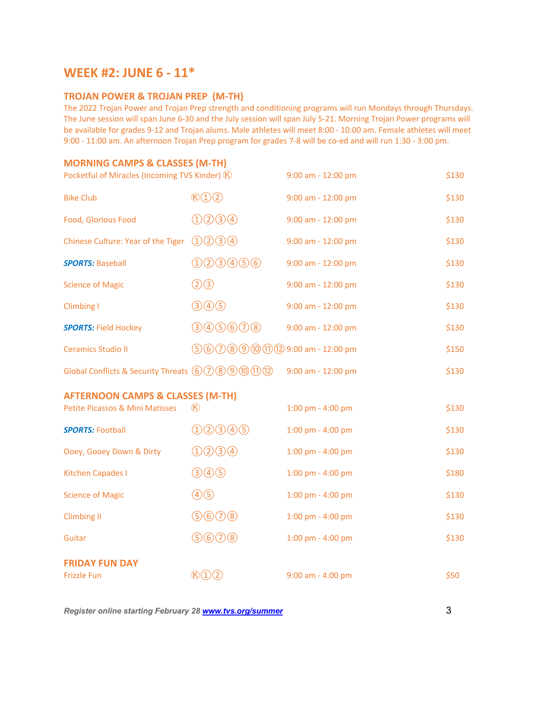## **WEEK #2: JUNE 6 - 11\***

#### **TROJAN POWER & TROJAN PREP (M-TH)**

The 2022 Trojan Power and Trojan Prep strength and conditioning programs will run Mondays through Thursdays. The June session will span June 6-30 and the July session will span July 5-21. Morning Trojan Power programs will be available for grades 9-12 and Trojan alums. Male athletes will meet 8:00 - 10:00 am. Female athletes will meet 9:00 - 11:00 am. An afternoon Trojan Prep program for grades 7-8 will be co-ed and will run 1:30 - 3:00 pm.

#### **MORNING CAMPS & CLASSES (M-TH)**

| Pocketful of Miracles (Incoming TVS Kinder) (K) |                                | 9:00 am - 12:00 pm    | \$130 |
|-------------------------------------------------|--------------------------------|-----------------------|-------|
| <b>Bike Club</b>                                | $\mathcal{B}(1)(2)$            | 9:00 am - 12:00 pm    | \$130 |
| Food, Glorious Food                             | (1)(2)(3)(4)                   | 9:00 am - 12:00 pm    | \$130 |
| Chinese Culture: Year of the Tiger              | (1) (2) (3) (4)                | 9:00 am - 12:00 pm    | \$130 |
| <b>SPORTS: Baseball</b>                         | 1003000                        | 9:00 am - 12:00 pm    | \$130 |
| <b>Science of Magic</b>                         | $(2)$ <sup>3</sup>             | 9:00 am - 12:00 pm    | \$130 |
| Climbing I                                      | (3) 4) 6)                      | 9:00 am - 12:00 pm    | \$130 |
| <b>SPORTS: Field Hockey</b>                     | (3005608)                      | 9:00 am - 12:00 pm    | \$130 |
| <b>Ceramics Studio II</b>                       | $56008900029:00$ am - 12:00 pm |                       | \$150 |
| Global Conflicts & Security Threats 6008900102  |                                | 9:00 am - 12:00 pm    | \$130 |
| <b>AFTERNOON CAMPS &amp; CLASSES (M-TH)</b>     |                                |                       |       |
| <b>Petite Picassos &amp; Mini Matisses</b>      | $\infty$                       | $1:00$ pm - $4:00$ pm | \$130 |
| <b>SPORTS: Football</b>                         | 1003005                        | 1:00 pm - 4:00 pm     | \$130 |
| Ooey, Gooey Down & Dirty                        | (1)(2)(3)(4)                   | 1:00 pm - 4:00 pm     | \$130 |
| <b>Kitchen Capades I</b>                        | (3) 4) 6)                      | 1:00 pm - 4:00 pm     | \$180 |
| <b>Science of Magic</b>                         | (4)(5)                         | 1:00 pm - 4:00 pm     | \$130 |
| <b>Climbing II</b>                              | 9600                           | 1:00 pm - 4:00 pm     | \$130 |
| Guitar                                          | 9600                           | 1:00 pm - 4:00 pm     | \$130 |
| <b>FRIDAY FUN DAY</b>                           |                                |                       |       |
| <b>Frizzle Fun</b>                              | $\mathcal{B}(1)$ (2)           | $9:00$ am - 4:00 pm   | \$50  |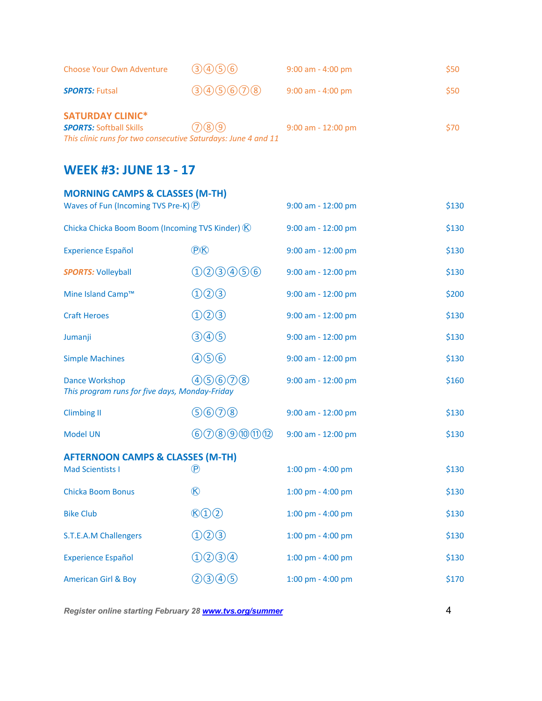| Choose Your Own Adventure                                                                                                  | (3)(4)(5)(6)       | $9:00$ am - 4:00 pm  | \$50        |
|----------------------------------------------------------------------------------------------------------------------------|--------------------|----------------------|-------------|
| <b>SPORTS: Futsal</b>                                                                                                      | (3)(4)(5)(6)(7)(8) | $9:00$ am - 4:00 pm  | <b>S50</b>  |
| <b>SATURDAY CLINIC*</b><br><b>SPORTS: Softball Skills</b><br>This clinic runs for two consecutive Saturdays: June 4 and 11 | (7)(8)(9)          | $9:00$ am - 12:00 pm | <b>\$70</b> |

## **WEEK #3: JUNE 13 - 17**

| <b>MORNING CAMPS &amp; CLASSES (M-TH)</b><br>Waves of Fun (Incoming TVS Pre-K) $(\widehat{P})$ |                         | 9:00 am - 12:00 pm | \$130 |
|------------------------------------------------------------------------------------------------|-------------------------|--------------------|-------|
| Chicka Chicka Boom Boom (Incoming TVS Kinder) $\circledR$                                      |                         | 9:00 am - 12:00 pm | \$130 |
| <b>Experience Español</b>                                                                      | <b>P</b>                | 9:00 am - 12:00 pm | \$130 |
| <b>SPORTS: Volleyball</b>                                                                      | 0000000                 | 9:00 am - 12:00 pm | \$130 |
| Mine Island Camp™                                                                              | $(1)$ $(2)$ $(3)$       | 9:00 am - 12:00 pm | \$200 |
| <b>Craft Heroes</b>                                                                            | ①②③                     | 9:00 am - 12:00 pm | \$130 |
| Jumanji                                                                                        | $(3)4)$ $(5)$           | 9:00 am - 12:00 pm | \$130 |
| <b>Simple Machines</b>                                                                         | (4)(5)(6)               | 9:00 am - 12:00 pm | \$130 |
| (4)5)6(7)8<br><b>Dance Workshop</b><br>This program runs for five days, Monday-Friday          |                         | 9:00 am - 12:00 pm | \$160 |
| <b>Climbing II</b>                                                                             | 9600                    | 9:00 am - 12:00 pm | \$130 |
| <b>Model UN</b>                                                                                | 60000000                | 9:00 am - 12:00 pm | \$130 |
| <b>AFTERNOON CAMPS &amp; CLASSES (M-TH)</b>                                                    |                         |                    |       |
| <b>Mad Scientists I</b>                                                                        | $\circled{\textsf{P}}$  | 1:00 pm - 4:00 pm  | \$130 |
| <b>Chicka Boom Bonus</b>                                                                       | R                       | 1:00 pm - 4:00 pm  | \$130 |
| <b>Bike Club</b>                                                                               | $\mathcal{B}(1)(2)$     | 1:00 pm - 4:00 pm  | \$130 |
| <b>S.T.E.A.M Challengers</b>                                                                   | $(1)$ $(2)$ $(3)$       | 1:00 pm - 4:00 pm  | \$130 |
| <b>Experience Español</b>                                                                      | $(1)$ $(2)$ $(3)$ $(4)$ | 1:00 pm - 4:00 pm  | \$130 |
| <b>American Girl &amp; Boy</b>                                                                 | (2)3(4)5                | 1:00 pm - 4:00 pm  | \$170 |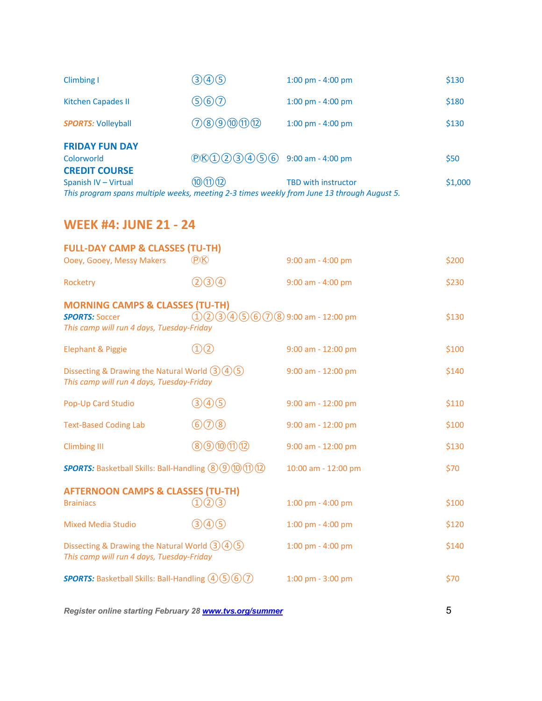| Climbing I                                                                                 | (3)(4)(5)                                                     | $1:00 \text{ pm} - 4:00 \text{ pm}$ | \$130   |
|--------------------------------------------------------------------------------------------|---------------------------------------------------------------|-------------------------------------|---------|
| <b>Kitchen Capades II</b>                                                                  | 560                                                           | $1:00 \text{ pm} - 4:00 \text{ pm}$ | \$180   |
| <b>SPORTS: Volleyball</b>                                                                  | (7)(8)(9)(0)(1)(12)                                           | $1:00 \text{ pm} - 4:00 \text{ pm}$ | \$130   |
| <b>FRIDAY FUN DAY</b>                                                                      |                                                               |                                     |         |
| Colorworld                                                                                 | $P(\mathcal{B}(1) \mathcal{Q}(3) \mathcal{A}(5) \mathcal{G})$ | 9:00 am - 4:00 pm                   | \$50    |
| <b>CREDIT COURSE</b>                                                                       |                                                               |                                     |         |
| Spanish IV - Virtual                                                                       | (10)(11)(12)                                                  | <b>TBD with instructor</b>          | \$1,000 |
| This program spans multiple weeks, meeting 2-3 times weekly from June 13 through August 5. |                                                               |                                     |         |

## **WEEK #4: JUNE 21 - 24**

| <b>FULL-DAY CAMP &amp; CLASSES (TU-TH)</b>                                                                       |                                               |                                     |       |  |
|------------------------------------------------------------------------------------------------------------------|-----------------------------------------------|-------------------------------------|-------|--|
| Ooey, Gooey, Messy Makers                                                                                        | (P(K)                                         | $9:00$ am - 4:00 pm                 | \$200 |  |
| Rocketry                                                                                                         | (2)3(4)                                       | $9:00$ am - 4:00 pm                 | \$230 |  |
| <b>MORNING CAMPS &amp; CLASSES (TU-TH)</b><br><b>SPORTS: Soccer</b><br>This camp will run 4 days, Tuesday-Friday | $(1)(2)(3)(4)(5)(6)(7)(8)$ 9:00 am - 12:00 pm |                                     | \$130 |  |
| <b>Elephant &amp; Piggie</b>                                                                                     | (1)(2)                                        | $9:00$ am - 12:00 pm                | \$100 |  |
| Dissecting & Drawing the Natural World $(3)(4)(5)$<br>This camp will run 4 days, Tuesday-Friday                  |                                               | $9:00$ am - 12:00 pm                | \$140 |  |
| Pop-Up Card Studio                                                                                               | (3)(4)(5)                                     | $9:00$ am - 12:00 pm                | \$110 |  |
| <b>Text-Based Coding Lab</b>                                                                                     | $\circledcirc$ $\circledcirc$                 | 9:00 am - 12:00 pm                  | \$100 |  |
| <b>Climbing III</b>                                                                                              | (8)(9)(10)(11)(12)                            | 9:00 am - 12:00 pm                  | \$130 |  |
| <b>SPORTS:</b> Basketball Skills: Ball-Handling (8) (9) (1) (1) (1)                                              |                                               | 10:00 am - 12:00 pm                 | \$70  |  |
| <b>AFTERNOON CAMPS &amp; CLASSES (TU-TH)</b><br><b>Brainiacs</b>                                                 | (2)(3)                                        | 1:00 pm - 4:00 pm                   | \$100 |  |
| <b>Mixed Media Studio</b>                                                                                        | (3)(4)(5)                                     | $1:00 \text{ pm} - 4:00 \text{ pm}$ | \$120 |  |
| Dissecting & Drawing the Natural World $(3)(4)(5)$<br>This camp will run 4 days, Tuesday-Friday                  |                                               | $1:00 \text{ pm} - 4:00 \text{ pm}$ | \$140 |  |
| <b>SPORTS:</b> Basketball Skills: Ball-Handling $(4)(5)(6)(7)$                                                   |                                               | $1:00$ pm - $3:00$ pm               | \$70  |  |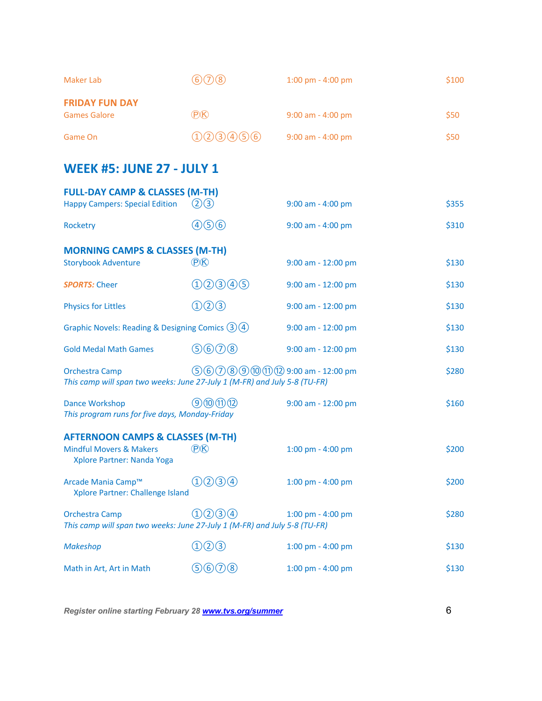| <b>Maker Lab</b>                                                                                                | $(6)$ $(7)$ $(8)$                         | $1:00 \text{ pm} - 4:00 \text{ pm}$ | \$100 |
|-----------------------------------------------------------------------------------------------------------------|-------------------------------------------|-------------------------------------|-------|
| <b>FRIDAY FUN DAY</b><br><b>Games Galore</b>                                                                    | <b>P</b>                                  | $9:00$ am - 4:00 pm                 | \$50  |
| Game On                                                                                                         | (1)(2)(3)(4)(5)(6)                        | 9:00 am - 4:00 pm                   | \$50  |
| <b>WEEK #5: JUNE 27 - JULY 1</b>                                                                                |                                           |                                     |       |
| <b>FULL-DAY CAMP &amp; CLASSES (M-TH)</b><br><b>Happy Campers: Special Edition</b>                              | (2)(3)                                    | 9:00 am - 4:00 pm                   | \$355 |
| Rocketry                                                                                                        | 466                                       | 9:00 am - 4:00 pm                   | \$310 |
| <b>MORNING CAMPS &amp; CLASSES (M-TH)</b><br><b>Storybook Adventure</b>                                         | P(X)                                      | $9:00$ am - 12:00 pm                | \$130 |
| <b>SPORTS: Cheer</b>                                                                                            | 1000005                                   | 9:00 am - 12:00 pm                  | \$130 |
| <b>Physics for Littles</b>                                                                                      | (1)(2)(3)                                 | 9:00 am - 12:00 pm                  | \$130 |
| Graphic Novels: Reading & Designing Comics $(3)(4)$                                                             |                                           | 9:00 am - 12:00 pm                  | \$130 |
| <b>Gold Medal Math Games</b>                                                                                    | 9600                                      | 9:00 am - 12:00 pm                  | \$130 |
| <b>Orchestra Camp</b><br>This camp will span two weeks: June 27-July 1 (M-FR) and July 5-8 (TU-FR)              | $(5)$ 6 7 8 9 10 11 12 9:00 am - 12:00 pm |                                     | \$280 |
| <b>Dance Workshop</b><br>This program runs for five days, Monday-Friday                                         | (9)(0)(1)(1)                              | 9:00 am - 12:00 pm                  | \$160 |
| <b>AFTERNOON CAMPS &amp; CLASSES (M-TH)</b><br><b>Mindful Movers &amp; Makers</b><br>Xplore Partner: Nanda Yoga | $P$ $R$                                   | $1:00 \text{ pm} - 4:00 \text{ pm}$ | \$200 |
| Arcade Mania Camp™<br>Xplore Partner: Challenge Island                                                          | (1)(2)(3)(4)                              | 1:00 pm - 4:00 pm                   | \$200 |
| <b>Orchestra Camp</b><br>This camp will span two weeks: June 27-July 1 (M-FR) and July 5-8 (TU-FR)              | (1)(2)(3)(4)                              | 1:00 pm - 4:00 pm                   | \$280 |
| <b>Makeshop</b>                                                                                                 | $(2)$ (3)                                 | 1:00 pm - 4:00 pm                   | \$130 |
| Math in Art, Art in Math                                                                                        | (5)(6)(7)(8)                              | 1:00 pm - 4:00 pm                   | \$130 |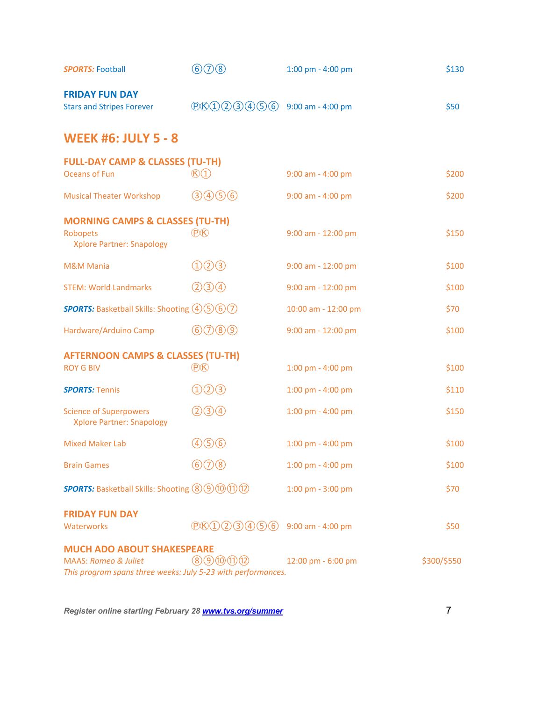| <b>SPORTS: Football</b>                                                                         | 600                                        | 1:00 pm - 4:00 pm                   | \$130       |
|-------------------------------------------------------------------------------------------------|--------------------------------------------|-------------------------------------|-------------|
| <b>FRIDAY FUN DAY</b><br><b>Stars and Stripes Forever</b>                                       | $P$ $R$ $(1)$ $(2)$ $(3)$ $(4)$ $(5)$ $6)$ | 9:00 am - 4:00 pm                   | \$50        |
| <b>WEEK #6: JULY 5 - 8</b>                                                                      |                                            |                                     |             |
| <b>FULL-DAY CAMP &amp; CLASSES (TU-TH)</b>                                                      |                                            |                                     |             |
| Oceans of Fun                                                                                   | $\mathbb{R}$ <sup>(1)</sup>                | 9:00 am - 4:00 pm                   | \$200       |
| <b>Musical Theater Workshop</b>                                                                 | (3)4)56                                    | 9:00 am - 4:00 pm                   | \$200       |
| <b>MORNING CAMPS &amp; CLASSES (TU-TH)</b>                                                      |                                            |                                     |             |
| Robopets<br><b>Xplore Partner: Snapology</b>                                                    | <b>P</b>                                   | 9:00 am - 12:00 pm                  | \$150       |
| <b>M&amp;M Mania</b>                                                                            | $(1)$ $(2)$ $(3)$                          | 9:00 am - 12:00 pm                  | \$100       |
| <b>STEM: World Landmarks</b>                                                                    | (2) 3) 4                                   | 9:00 am - 12:00 pm                  | \$100       |
| <b>SPORTS:</b> Basketball Skills: Shooting 46567                                                |                                            | 10:00 am - 12:00 pm                 | \$70        |
| Hardware/Arduino Camp                                                                           | 60009                                      | 9:00 am - 12:00 pm                  | \$100       |
| <b>AFTERNOON CAMPS &amp; CLASSES (TU-TH)</b>                                                    |                                            |                                     |             |
| <b>ROY G BIV</b>                                                                                | <b>P</b>                                   | 1:00 pm - 4:00 pm                   | \$100       |
| <b>SPORTS: Tennis</b>                                                                           | ①②                                         | 1:00 pm - 4:00 pm                   | \$110       |
| <b>Science of Superpowers</b><br><b>Xplore Partner: Snapology</b>                               | (2)3(4)                                    | 1:00 pm - 4:00 pm                   | \$150       |
| <b>Mixed Maker Lab</b>                                                                          | 466                                        | $1:00 \text{ pm} - 4:00 \text{ pm}$ | \$100       |
| <b>Brain Games</b>                                                                              | $\circledcirc$ $\circledcirc$              | 1:00 pm - 4:00 pm                   | \$100       |
| <b>SPORTS:</b> Basketball Skills: Shooting 8 9 10 11 12                                         |                                            | 1:00 pm - 3:00 pm                   | \$70        |
| <b>FRIDAY FUN DAY</b>                                                                           |                                            |                                     |             |
| Waterworks                                                                                      | $P$ $R$ $(1)$ $(2)$ $(3)$ $(4)$ $(5)$ $6)$ | 9:00 am - 4:00 pm                   | \$50        |
| <b>MUCH ADO ABOUT SHAKESPEARE</b>                                                               |                                            |                                     |             |
| <b>MAAS: Romeo &amp; Juliet</b><br>This program spans three weeks: July 5-23 with performances. | (8)9101112                                 | 12:00 pm - 6:00 pm                  | \$300/\$550 |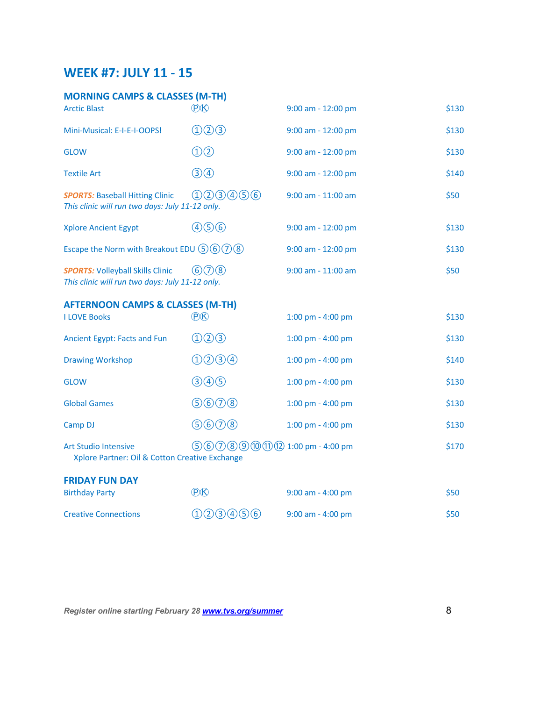## **WEEK #7: JULY 11 - 15**

| <b>MORNING CAMPS &amp; CLASSES (M-TH)</b>                                                  |                                |                      |       |
|--------------------------------------------------------------------------------------------|--------------------------------|----------------------|-------|
| <b>Arctic Blast</b>                                                                        | <b>P</b>                       | 9:00 am - 12:00 pm   | \$130 |
| Mini-Musical: E-I-E-I-OOPS!                                                                | (1)(2)(3)                      | 9:00 am - 12:00 pm   | \$130 |
| <b>GLOW</b>                                                                                | $\textcircled{1}(2)$           | 9:00 am - 12:00 pm   | \$130 |
| <b>Textile Art</b>                                                                         | $\bigcirc$ $\bigcirc$          | $9:00$ am - 12:00 pm | \$140 |
| <b>SPORTS: Baseball Hitting Clinic</b><br>This clinic will run two days: July 11-12 only.  | (1)(2)(3)(4)(5)(6)             | 9:00 am - 11:00 am   | \$50  |
| <b>Xplore Ancient Egypt</b>                                                                | 456                            | $9:00$ am - 12:00 pm | \$130 |
| Escape the Norm with Breakout EDU $(5)(6)(7)(8)$                                           |                                | 9:00 am - 12:00 pm   | \$130 |
| <b>SPORTS: Volleyball Skills Clinic</b><br>This clinic will run two days: July 11-12 only. | (6)(7)(8)                      | 9:00 am - 11:00 am   | \$50  |
| <b>AFTERNOON CAMPS &amp; CLASSES (M-TH)</b>                                                |                                |                      |       |
| <b>I LOVE Books</b>                                                                        | P(X)                           | 1:00 pm - 4:00 pm    | \$130 |
| Ancient Egypt: Facts and Fun                                                               | (1)(2)(3)                      | 1:00 pm - 4:00 pm    | \$130 |
| <b>Drawing Workshop</b>                                                                    | (1)(2)(3)(4)                   | 1:00 pm - 4:00 pm    | \$140 |
| <b>GLOW</b>                                                                                | (3)4)                          | 1:00 pm - 4:00 pm    | \$130 |
| <b>Global Games</b>                                                                        | 9600                           | 1:00 pm - 4:00 pm    | \$130 |
| Camp DJ                                                                                    | 9600                           | 1:00 pm - 4:00 pm    | \$130 |
| <b>Art Studio Intensive</b><br>Xplore Partner: Oil & Cotton Creative Exchange              | $560089000021:00$ pm - 4:00 pm |                      | \$170 |
| <b>FRIDAY FUN DAY</b>                                                                      |                                |                      |       |
| <b>Birthday Party</b>                                                                      | <b>P</b>                       | 9:00 am - 4:00 pm    | \$50  |
| <b>Creative Connections</b>                                                                | 023456                         | 9:00 am - 4:00 pm    | \$50  |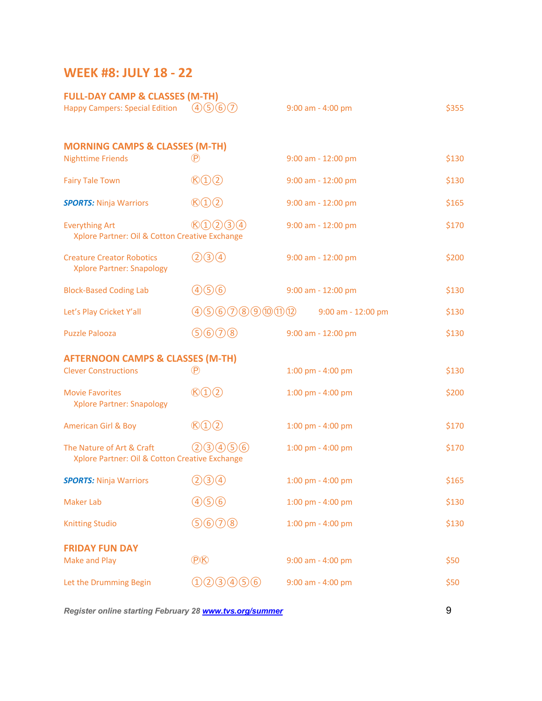## **WEEK #8: JULY 18 - 22**

| <b>FULL-DAY CAMP &amp; CLASSES (M-TH)</b>                                   |                                             |                       |       |
|-----------------------------------------------------------------------------|---------------------------------------------|-----------------------|-------|
| <b>Happy Campers: Special Edition</b>                                       | (4)(5)(6)(7)                                | $9:00$ am - 4:00 pm   | \$355 |
|                                                                             |                                             |                       |       |
| <b>MORNING CAMPS &amp; CLASSES (M-TH)</b><br><b>Nighttime Friends</b>       | (P)                                         | 9:00 am - 12:00 pm    | \$130 |
| <b>Fairy Tale Town</b>                                                      | $\mathbb{R}(\mathbb{D}(\mathbb{D}))$        | 9:00 am - 12:00 pm    | \$130 |
| <b>SPORTS: Ninja Warriors</b>                                               | $\mathcal{B}(\mathbb{D}(\mathbb{D}))$       | 9:00 am - 12:00 pm    | \$165 |
| <b>Everything Art</b><br>Xplore Partner: Oil & Cotton Creative Exchange     | $\mathcal{B}(1) \mathcal{O}(3) \mathcal{A}$ | 9:00 am - 12:00 pm    | \$170 |
| <b>Creature Creator Robotics</b><br><b>Xplore Partner: Snapology</b>        | (2)3(4)                                     | 9:00 am - 12:00 pm    | \$200 |
| <b>Block-Based Coding Lab</b>                                               | 466                                         | 9:00 am - 12:00 pm    | \$130 |
| Let's Play Cricket Y'all                                                    | 45608900002                                 | 9:00 am - 12:00 pm    | \$130 |
| <b>Puzzle Palooza</b>                                                       | 9600                                        | 9:00 am - 12:00 pm    | \$130 |
| <b>AFTERNOON CAMPS &amp; CLASSES (M-TH)</b>                                 |                                             |                       |       |
| <b>Clever Constructions</b>                                                 | $^{\circledR}$                              | 1:00 pm - 4:00 pm     | \$130 |
| <b>Movie Favorites</b><br><b>Xplore Partner: Snapology</b>                  | $\mathcal{B}(\mathbb{D}(\mathbb{D}))$       | 1:00 pm - 4:00 pm     | \$200 |
| <b>American Girl &amp; Boy</b>                                              | $\mathcal{B}(1)(2)$                         | 1:00 pm - 4:00 pm     | \$170 |
| The Nature of Art & Craft<br>Xplore Partner: Oil & Cotton Creative Exchange | (2)(3)(4)(5)(6)                             | 1:00 pm - 4:00 pm     | \$170 |
| <b>SPORTS: Ninja Warriors</b>                                               | (2)3(4)                                     | 1:00 pm - 4:00 pm     | \$165 |
| <b>Maker Lab</b>                                                            | 4(5)6                                       | $1:00$ pm - $4:00$ pm | \$130 |
| <b>Knitting Studio</b>                                                      | 9600                                        | 1:00 pm - 4:00 pm     | \$130 |
| <b>FRIDAY FUN DAY</b><br><b>Make and Play</b>                               | <b>P</b>                                    | 9:00 am - 4:00 pm     | \$50  |
| Let the Drumming Begin                                                      | $(1)$ $(2)$ $(3)$ $(4)$ $(5)$ $(6)$         | 9:00 am - 4:00 pm     | \$50  |